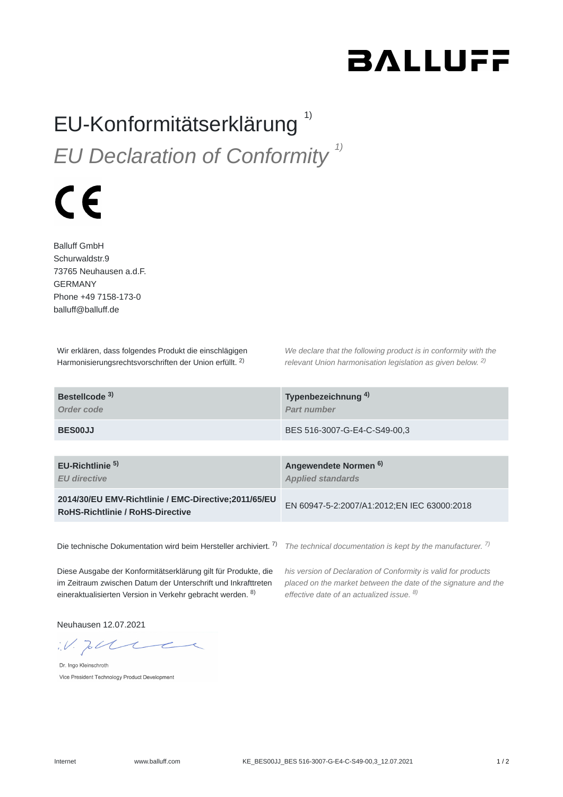## **BALLUFF**

## EU-Konformitätserklärung<sup>1)</sup> *EU Declaration of Conformity 1)*

## $\epsilon$

Balluff GmbH Schurwaldstr.9 73765 Neuhausen a.d.F. GERMANY Phone +49 7158-173-0 balluff@balluff.de

Wir erklären, dass folgendes Produkt die einschlägigen Harmonisierungsrechtsvorschriften der Union erfüllt. <sup>2)</sup>

*We declare that the following product is in conformity with the relevant Union harmonisation legislation as given below.* 2) *2)*

| Bestellcode <sup>3)</sup><br>Order code                                                         | Typenbezeichnung <sup>4)</sup><br><b>Part number</b>         |
|-------------------------------------------------------------------------------------------------|--------------------------------------------------------------|
| <b>BES00JJ</b>                                                                                  | BES 516-3007-G-E4-C-S49-00.3                                 |
|                                                                                                 |                                                              |
| EU-Richtlinie <sup>5)</sup><br><b>EU directive</b>                                              | Angewendete Normen <sup>6)</sup><br><b>Applied standards</b> |
| 2014/30/EU EMV-Richtlinie / EMC-Directive;2011/65/EU<br><b>RoHS-Richtlinie / RoHS-Directive</b> | EN 60947-5-2:2007/A1:2012;EN IEC 63000:2018                  |
|                                                                                                 |                                                              |

Die technische Dokumentation wird beim Hersteller archiviert. <sup>7)</sup> The technical documentation is kept by the manufacturer. <sup>7)</sup>

Diese Ausgabe der Konformitätserklärung gilt für Produkte, die im Zeitraum zwischen Datum der Unterschrift und Inkrafttreten eineraktualisierten Version in Verkehr gebracht werden. <sup>8)</sup>

*his version of Declaration of Conformity is valid for products placed on the market between the date of the signature and the effective date of an actualized issue. 8)*

Neuhausen 12.07.2021

 $W.$  To the

Dr. Ingo Kleinschroth Vice President Technology Product Development

Internet www.balluff.com KE\_BES00JJ\_BES 516-3007-G-E4-C-S49-00,3\_12.07.2021 1 / 2